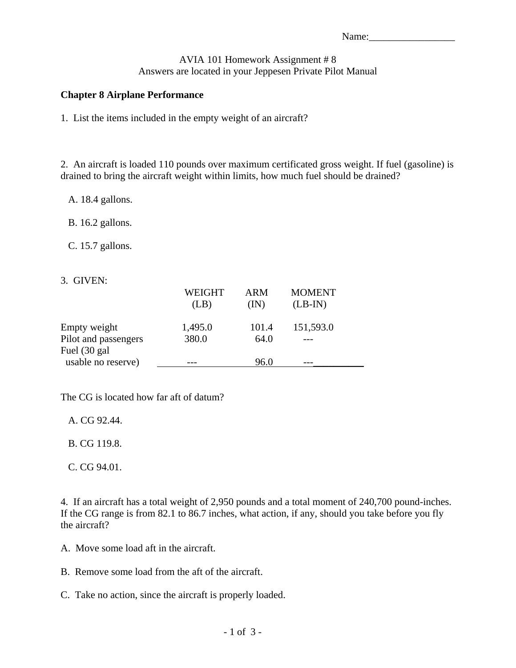## AVIA 101 Homework Assignment # 8 Answers are located in your Jeppesen Private Pilot Manual

## **Chapter 8 Airplane Performance**

1. List the items included in the empty weight of an aircraft?

2. An aircraft is loaded 110 pounds over maximum certificated gross weight. If fuel (gasoline) is drained to bring the aircraft weight within limits, how much fuel should be drained?

- A. 18.4 gallons.
- B. 16.2 gallons.
- C. 15.7 gallons.
- 3. GIVEN:

|                      | <b>WEIGHT</b> | <b>ARM</b> | <b>MOMENT</b> |  |
|----------------------|---------------|------------|---------------|--|
|                      | (LB)          | (IN)       | $(LB-IN)$     |  |
|                      |               |            |               |  |
| Empty weight         | 1,495.0       | 101.4      | 151,593.0     |  |
| Pilot and passengers | 380.0         | 64.0       |               |  |
| Fuel (30 gal)        |               |            |               |  |
| usable no reserve)   |               | 96.0       |               |  |

The CG is located how far aft of datum?

A. CG 92.44.

B. CG 119.8.

C. CG 94.01.

4. If an aircraft has a total weight of 2,950 pounds and a total moment of 240,700 pound-inches. If the CG range is from 82.1 to 86.7 inches, what action, if any, should you take before you fly the aircraft?

- A. Move some load aft in the aircraft.
- B. Remove some load from the aft of the aircraft.
- C. Take no action, since the aircraft is properly loaded.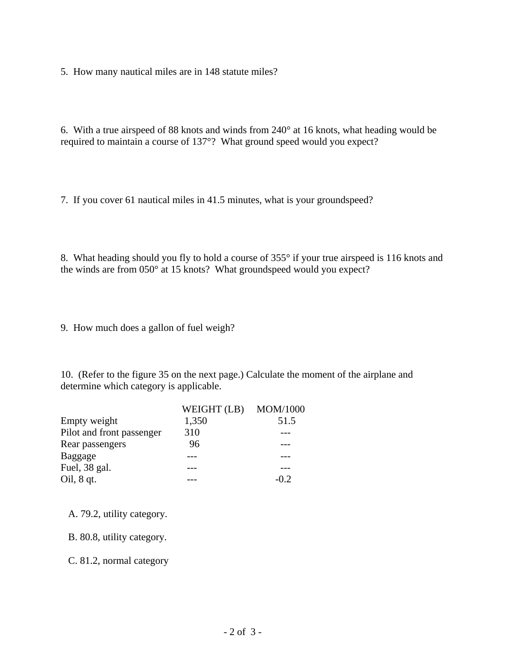5. How many nautical miles are in 148 statute miles?

6. With a true airspeed of 88 knots and winds from 240° at 16 knots, what heading would be required to maintain a course of 137°? What ground speed would you expect?

7. If you cover 61 nautical miles in 41.5 minutes, what is your groundspeed?

8. What heading should you fly to hold a course of 355° if your true airspeed is 116 knots and the winds are from 050° at 15 knots? What groundspeed would you expect?

9. How much does a gallon of fuel weigh?

10. (Refer to the figure 35 on the next page.) Calculate the moment of the airplane and determine which category is applicable.

|                           | WEIGHT (LB) MOM/1000 |        |
|---------------------------|----------------------|--------|
| Empty weight              | 1,350                | 51.5   |
| Pilot and front passenger | 310                  |        |
| Rear passengers           | 96                   |        |
| Baggage                   |                      |        |
| Fuel, 38 gal.             |                      |        |
| Oil, $8$ qt.              |                      | $-0.2$ |

- A. 79.2, utility category.
- B. 80.8, utility category.

C. 81.2, normal category